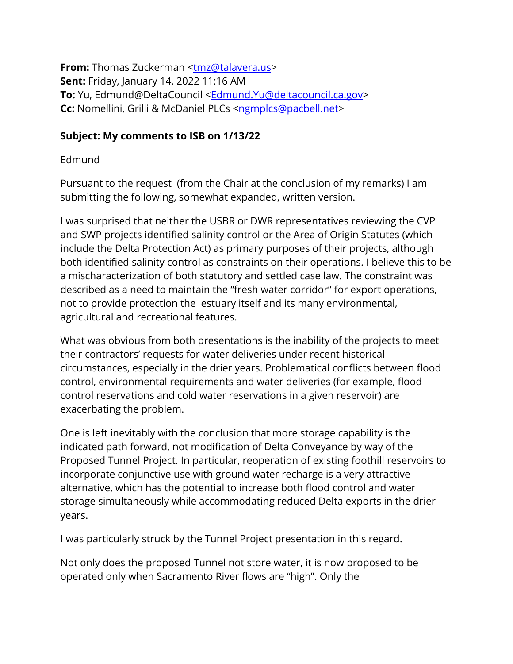**From:** Thomas Zuckerman [<tmz@talavera.us>](mailto:tmz@talavera.us) **Sent:** Friday, January 14, 2022 11:16 AM To: Yu, Edmund@DeltaCouncil [<Edmund.Yu@deltacouncil.ca.gov>](mailto:Edmund.Yu@deltacouncil.ca.gov) **Cc:** Nomellini, Grilli & McDaniel PLCs [<ngmplcs@pacbell.net>](mailto:ngmplcs@pacbell.net)

## **Subject: My comments to ISB on 1/13/22**

Edmund

Pursuant to the request (from the Chair at the conclusion of my remarks) I am submitting the following, somewhat expanded, written version.

I was surprised that neither the USBR or DWR representatives reviewing the CVP and SWP projects identified salinity control or the Area of Origin Statutes (which include the Delta Protection Act) as primary purposes of their projects, although both identified salinity control as constraints on their operations. I believe this to be a mischaracterization of both statutory and settled case law. The constraint was described as a need to maintain the "fresh water corridor" for export operations, not to provide protection the estuary itself and its many environmental, agricultural and recreational features.

What was obvious from both presentations is the inability of the projects to meet their contractors' requests for water deliveries under recent historical circumstances, especially in the drier years. Problematical conflicts between flood control, environmental requirements and water deliveries (for example, flood control reservations and cold water reservations in a given reservoir) are exacerbating the problem.

One is left inevitably with the conclusion that more storage capability is the indicated path forward, not modification of Delta Conveyance by way of the Proposed Tunnel Project. In particular, reoperation of existing foothill reservoirs to incorporate conjunctive use with ground water recharge is a very attractive alternative, which has the potential to increase both flood control and water storage simultaneously while accommodating reduced Delta exports in the drier years.

I was particularly struck by the Tunnel Project presentation in this regard.

Not only does the proposed Tunnel not store water, it is now proposed to be operated only when Sacramento River flows are "high". Only the